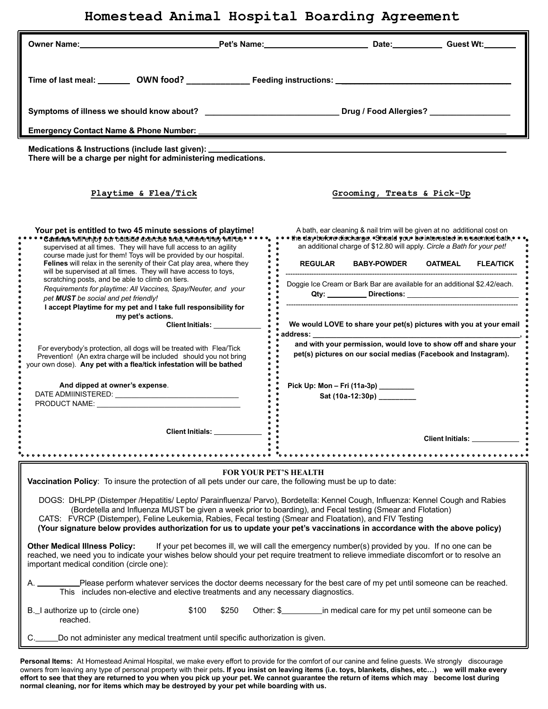## **Homestead Animal Hospital Boarding Agreement**

| Time of last meal: _________ OWN food? ________________Feeding instructions: ______________                                                                                                                                                                                                                                                                                                                                                                                                                                                                                                                                                                                                                                                                                                                                                                                                                                                                                                                         | Symptoms of illness we should know about? ___________________________________Drug / Food Allergies? ____________                                                                                                                                                                                                                                                                                                                                                                                                                                                                                                                                                                    |  |  |
|---------------------------------------------------------------------------------------------------------------------------------------------------------------------------------------------------------------------------------------------------------------------------------------------------------------------------------------------------------------------------------------------------------------------------------------------------------------------------------------------------------------------------------------------------------------------------------------------------------------------------------------------------------------------------------------------------------------------------------------------------------------------------------------------------------------------------------------------------------------------------------------------------------------------------------------------------------------------------------------------------------------------|-------------------------------------------------------------------------------------------------------------------------------------------------------------------------------------------------------------------------------------------------------------------------------------------------------------------------------------------------------------------------------------------------------------------------------------------------------------------------------------------------------------------------------------------------------------------------------------------------------------------------------------------------------------------------------------|--|--|
| <b>Emergency Contact Name &amp; Phone Number:</b>                                                                                                                                                                                                                                                                                                                                                                                                                                                                                                                                                                                                                                                                                                                                                                                                                                                                                                                                                                   |                                                                                                                                                                                                                                                                                                                                                                                                                                                                                                                                                                                                                                                                                     |  |  |
| There will be a charge per night for administering medications.<br>Playtime & Flea/Tick                                                                                                                                                                                                                                                                                                                                                                                                                                                                                                                                                                                                                                                                                                                                                                                                                                                                                                                             | Grooming, Treats & Pick-Up                                                                                                                                                                                                                                                                                                                                                                                                                                                                                                                                                                                                                                                          |  |  |
|                                                                                                                                                                                                                                                                                                                                                                                                                                                                                                                                                                                                                                                                                                                                                                                                                                                                                                                                                                                                                     |                                                                                                                                                                                                                                                                                                                                                                                                                                                                                                                                                                                                                                                                                     |  |  |
| Your pet is entitled to two 45 minute sessions of playtime!<br>Canines willen joy our outside exercise area, where they will the<br>supervised at all times. They will have full access to an agility<br>course made just for them! Toys will be provided by our hospital.<br>Felines will relax in the serenity of their Cat play area, where they<br>will be supervised at all times. They will have access to toys,<br>scratching posts, and be able to climb on tiers.<br>Requirements for playtime: All Vaccines, Spay/Neuter, and your<br>pet MUST be social and pet friendly!<br>I accept Playtime for my pet and I take full responsibility for<br>my pet's actions.<br>Client Initials: __________<br>For everybody's protection, all dogs will be treated with Flea/Tick<br>Prevention! (An extra charge will be included should you not bring<br>your own dose). Any pet with a flea/tick infestation will be bathed<br>And dipped at owner's expense.<br>PRODUCT NAME: NAME:<br><b>Client Initials:</b> | A bath, ear cleaning & nail trim will be given at no additional cost on<br>· the day-before discharge. Should you be interested in a scented bath, · · ·<br>an additional charge of \$12.80 will apply. Circle a Bath for your pet!<br><b>REGULAR</b><br><b>BABY-POWDER</b><br><b>OATMEAL</b><br><b>FLEA/TICK</b><br>Doggie Ice Cream or Bark Bar are available for an additional \$2.42/each.<br>We would LOVE to share your pet(s) pictures with you at your email<br>address:<br>and with your permission, would love to show off and share your<br>pet(s) pictures on our social medias (Facebook and Instagram).<br>Pick Up: Mon – Fri (11a-3p)<br>Sat (10a-12:30p) __________ |  |  |
|                                                                                                                                                                                                                                                                                                                                                                                                                                                                                                                                                                                                                                                                                                                                                                                                                                                                                                                                                                                                                     | Client Initials: <u>Client Initials</u>                                                                                                                                                                                                                                                                                                                                                                                                                                                                                                                                                                                                                                             |  |  |
|                                                                                                                                                                                                                                                                                                                                                                                                                                                                                                                                                                                                                                                                                                                                                                                                                                                                                                                                                                                                                     |                                                                                                                                                                                                                                                                                                                                                                                                                                                                                                                                                                                                                                                                                     |  |  |
| <b>FOR YOUR PET'S HEALTH</b><br>Vaccination Policy: To insure the protection of all pets under our care, the following must be up to date:<br>DOGS: DHLPP (Distemper /Hepatitis/ Lepto/ Parainfluenza/ Parvo), Bordetella: Kennel Cough, Influenza: Kennel Cough and Rabies<br>(Bordetella and Influenza MUST be given a week prior to boarding), and Fecal testing (Smear and Flotation)<br>CATS: FVRCP (Distemper), Feline Leukemia, Rabies, Fecal testing (Smear and Floatation), and FIV Testing                                                                                                                                                                                                                                                                                                                                                                                                                                                                                                                |                                                                                                                                                                                                                                                                                                                                                                                                                                                                                                                                                                                                                                                                                     |  |  |
| (Your signature below provides authorization for us to update your pet's vaccinations in accordance with the above policy)                                                                                                                                                                                                                                                                                                                                                                                                                                                                                                                                                                                                                                                                                                                                                                                                                                                                                          |                                                                                                                                                                                                                                                                                                                                                                                                                                                                                                                                                                                                                                                                                     |  |  |
| <b>Other Medical Illness Policy:</b><br>If your pet becomes ill, we will call the emergency number(s) provided by you. If no one can be<br>reached, we need you to indicate your wishes below should your pet require treatment to relieve immediate discomfort or to resolve an<br>important medical condition (circle one):                                                                                                                                                                                                                                                                                                                                                                                                                                                                                                                                                                                                                                                                                       |                                                                                                                                                                                                                                                                                                                                                                                                                                                                                                                                                                                                                                                                                     |  |  |
| Please perform whatever services the doctor deems necessary for the best care of my pet until someone can be reached.<br>This includes non-elective and elective treatments and any necessary diagnostics.                                                                                                                                                                                                                                                                                                                                                                                                                                                                                                                                                                                                                                                                                                                                                                                                          |                                                                                                                                                                                                                                                                                                                                                                                                                                                                                                                                                                                                                                                                                     |  |  |
| B. I authorize up to (circle one)<br>\$100<br>\$250<br>reached.                                                                                                                                                                                                                                                                                                                                                                                                                                                                                                                                                                                                                                                                                                                                                                                                                                                                                                                                                     |                                                                                                                                                                                                                                                                                                                                                                                                                                                                                                                                                                                                                                                                                     |  |  |
| Do not administer any medical treatment until specific authorization is given.                                                                                                                                                                                                                                                                                                                                                                                                                                                                                                                                                                                                                                                                                                                                                                                                                                                                                                                                      |                                                                                                                                                                                                                                                                                                                                                                                                                                                                                                                                                                                                                                                                                     |  |  |

**Personal Items:** At Homestead Animal Hospital, we make every effort to provide for the comfort of our canine and feline guests. We strongly discourage owners from leaving any type of personal property with their pets. If you insist on leaving items (i.e. toys, blankets, dishes, etc...) we will make every effort to see that they are returned to you when you pick up your pet. We cannot guarantee the return of items which may become lost during **normal cleaning, nor for items which may be destroyed by your pet while boarding with us.**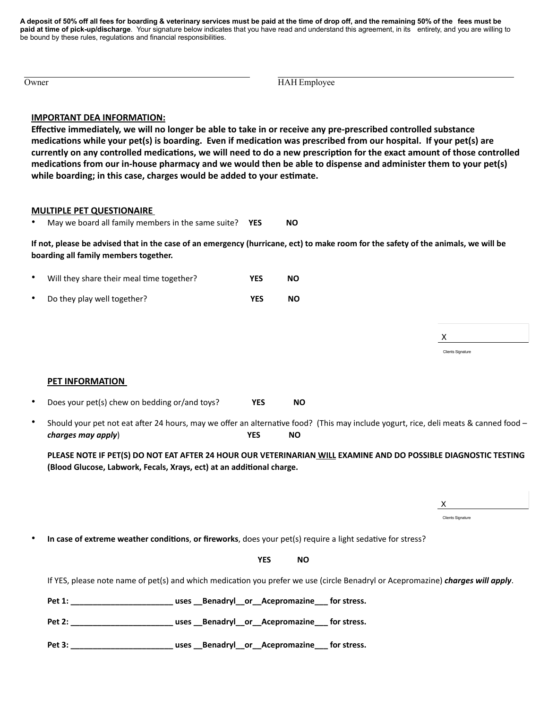A deposit of 50% off all fees for boarding & veterinary services must be paid at the time of drop off, and the remaining 50% of the fees must be **paid at time of pick-up/discharge**. Your signature below indicates that you have read and understand this agreement, in its entirety, and you are willing to be bound by these rules, regulations and financial responsibilities.

| Owner | HAH Employee |  |
|-------|--------------|--|

## **IMPORTANT DEA INFORMATION:**

**Effective immediately, we will no longer be able to take in or receive any pre-prescribed controlled substance medications while your pet(s) is boarding. Even if medication was prescribed from our hospital. If your pet(s) are currently on any controlled medications, we will need to do a new prescription for the exact amount of those controlled medications from our in-house pharmacy and we would then be able to dispense and administer them to your pet(s) while boarding; in this case, charges would be added to your estimate.**

## **MULTIPLE PET QUESTIONAIRE**

• May we board all family members in the same suite? **YES NO**

**If not, please be advised that in the case of an emergency (hurricane, ect) to make room for the safety of the animals, we will be boarding all family members together.**

- Will they share their meal time together? **YES NO**
- Do they play well together? **YES NO**

## **PET INFORMATION**

- Does your pet(s) chew on bedding or/and toys? **YES NO**
- Should your pet not eat after 24 hours, may we offer an alternative food? (This may include yogurt, rice, deli meats & canned food *charges may apply*) **YES NO**

**PLEASE NOTE IF PET(S) DO NOT EAT AFTER 24 HOUR OUR VETERINARIAN WILL EXAMINE AND DO POSSIBLE DIAGNOSTIC TESTING (Blood Glucose, Labwork, Fecals, Xrays, ect) at an additional charge.**

Clients Signature

X

X

Clients Signature

• **In case of extreme weather conditions**, **or fireworks**, does your pet(s) require a light sedative for stress?

**PES** NO

If YES, please note name of pet(s) and which medication you prefer we use (circle Benadryl or Acepromazine) *charges will apply*.

**Pet 1: \_\_\_\_\_\_\_\_\_\_\_\_\_\_\_\_\_\_\_\_\_\_\_ uses \_\_Benadryl\_\_or\_\_Acepromazine\_\_\_ for stress.**

**Pet 2: \_\_\_\_\_\_\_\_\_\_\_\_\_\_\_\_\_\_\_\_\_\_\_ uses \_\_Benadryl\_\_or\_\_Acepromazine\_\_\_ for stress.**

**Pet 3: \_\_\_\_\_\_\_\_\_\_\_\_\_\_\_\_\_\_\_\_\_\_\_ uses \_\_Benadryl\_\_or\_\_Acepromazine\_\_\_ for stress.**